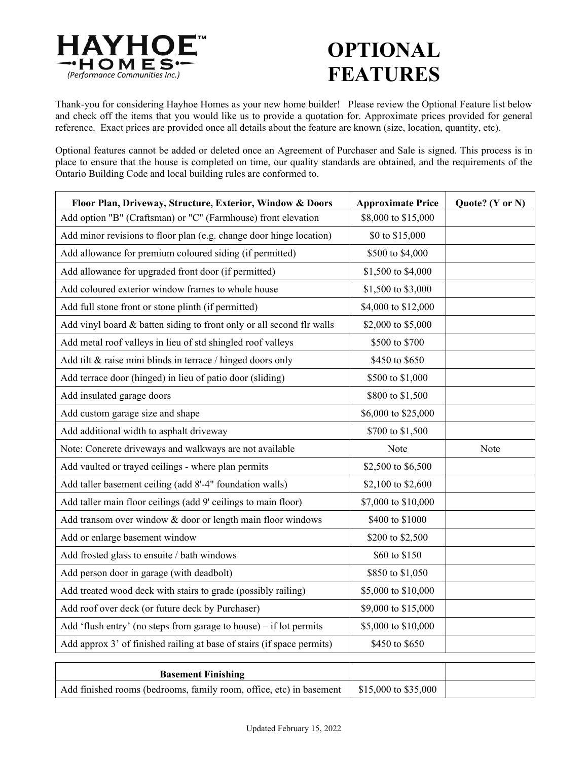

## **OPTIONAL FEATURES**

Thank-you for considering Hayhoe Homes as your new home builder! Please review the Optional Feature list below and check off the items that you would like us to provide a quotation for. Approximate prices provided for general reference. Exact prices are provided once all details about the feature are known (size, location, quantity, etc).

Optional features cannot be added or deleted once an Agreement of Purchaser and Sale is signed. This process is in place to ensure that the house is completed on time, our quality standards are obtained, and the requirements of the Ontario Building Code and local building rules are conformed to.

| Floor Plan, Driveway, Structure, Exterior, Window & Doors              | <b>Approximate Price</b> | Quote? (Y or N) |
|------------------------------------------------------------------------|--------------------------|-----------------|
| Add option "B" (Craftsman) or "C" (Farmhouse) front elevation          | \$8,000 to \$15,000      |                 |
| Add minor revisions to floor plan (e.g. change door hinge location)    | \$0 to \$15,000          |                 |
| Add allowance for premium coloured siding (if permitted)               | \$500 to \$4,000         |                 |
| Add allowance for upgraded front door (if permitted)                   | \$1,500 to \$4,000       |                 |
| Add coloured exterior window frames to whole house                     | \$1,500 to \$3,000       |                 |
| Add full stone front or stone plinth (if permitted)                    | \$4,000 to \$12,000      |                 |
| Add vinyl board & batten siding to front only or all second flr walls  | \$2,000 to \$5,000       |                 |
| Add metal roof valleys in lieu of std shingled roof valleys            | \$500 to \$700           |                 |
| Add tilt & raise mini blinds in terrace / hinged doors only            | \$450 to \$650           |                 |
| Add terrace door (hinged) in lieu of patio door (sliding)              | \$500 to \$1,000         |                 |
| Add insulated garage doors                                             | \$800 to \$1,500         |                 |
| Add custom garage size and shape                                       | \$6,000 to \$25,000      |                 |
| Add additional width to asphalt driveway                               | \$700 to \$1,500         |                 |
| Note: Concrete driveways and walkways are not available                | Note                     | Note            |
| Add vaulted or trayed ceilings - where plan permits                    | \$2,500 to \$6,500       |                 |
| Add taller basement ceiling (add 8'-4" foundation walls)               | \$2,100 to \$2,600       |                 |
| Add taller main floor ceilings (add 9' ceilings to main floor)         | \$7,000 to \$10,000      |                 |
| Add transom over window & door or length main floor windows            | \$400 to \$1000          |                 |
| Add or enlarge basement window                                         | \$200 to \$2,500         |                 |
| Add frosted glass to ensuite / bath windows                            | \$60 to \$150            |                 |
| Add person door in garage (with deadbolt)                              | \$850 to \$1,050         |                 |
| Add treated wood deck with stairs to grade (possibly railing)          | \$5,000 to \$10,000      |                 |
| Add roof over deck (or future deck by Purchaser)                       | \$9,000 to \$15,000      |                 |
| Add 'flush entry' (no steps from garage to house) – if lot permits     | \$5,000 to \$10,000      |                 |
| Add approx 3' of finished railing at base of stairs (if space permits) | \$450 to \$650           |                 |

| <b>Basement Finishing</b>                                           |                      |  |
|---------------------------------------------------------------------|----------------------|--|
| Add finished rooms (bedrooms, family room, office, etc) in basement | \$15,000 to \$35,000 |  |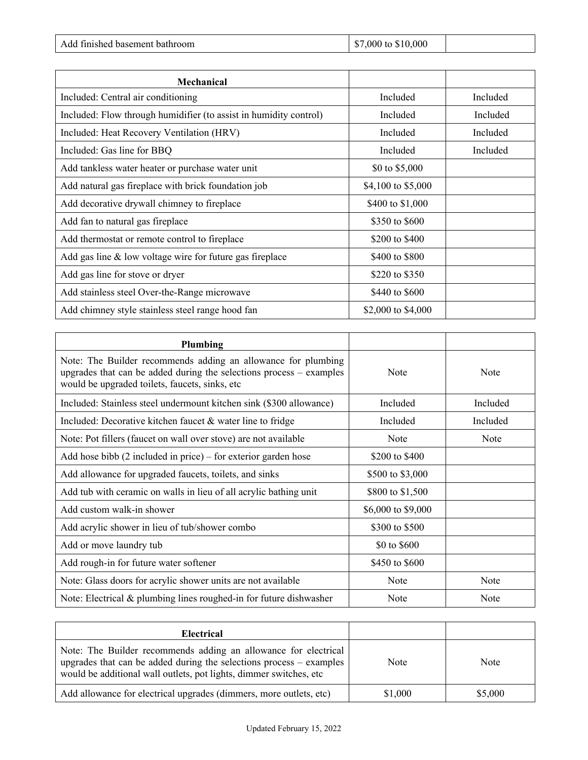| Add finished basement bathroom | $\frac{$7,000}{0}$ to \$10,000 |  |
|--------------------------------|--------------------------------|--|
|--------------------------------|--------------------------------|--|

| <b>Mechanical</b>                                                 |                    |          |
|-------------------------------------------------------------------|--------------------|----------|
| Included: Central air conditioning                                | Included           | Included |
| Included: Flow through humidifier (to assist in humidity control) | Included           | Included |
| Included: Heat Recovery Ventilation (HRV)                         | Included           | Included |
| Included: Gas line for BBQ                                        | Included           | Included |
| Add tankless water heater or purchase water unit                  | \$0 to \$5,000     |          |
| Add natural gas fireplace with brick foundation job               | \$4,100 to \$5,000 |          |
| Add decorative drywall chimney to fireplace                       | \$400 to \$1,000   |          |
| Add fan to natural gas fireplace                                  | \$350 to \$600     |          |
| Add thermostat or remote control to fireplace                     | \$200 to \$400     |          |
| Add gas line $&$ low voltage wire for future gas fireplace        | \$400 to \$800     |          |
| Add gas line for stove or dryer                                   | \$220 to \$350     |          |
| Add stainless steel Over-the-Range microwave                      | \$440 to \$600     |          |
| Add chimney style stainless steel range hood fan                  | \$2,000 to \$4,000 |          |

I

| Plumbing                                                                                                                                                                                 |                    |          |
|------------------------------------------------------------------------------------------------------------------------------------------------------------------------------------------|--------------------|----------|
| Note: The Builder recommends adding an allowance for plumbing<br>upgrades that can be added during the selections process $-$ examples<br>would be upgraded toilets, faucets, sinks, etc | Note               | Note     |
| Included: Stainless steel undermount kitchen sink (\$300 allowance)                                                                                                                      | Included           | Included |
| Included: Decorative kitchen faucet $\&$ water line to fridge                                                                                                                            | Included           | Included |
| Note: Pot fillers (faucet on wall over stove) are not available                                                                                                                          | Note               | Note     |
| Add hose bibb $(2$ included in price) – for exterior garden hose                                                                                                                         | \$200 to \$400     |          |
| Add allowance for upgraded faucets, toilets, and sinks                                                                                                                                   | \$500 to \$3,000   |          |
| Add tub with ceramic on walls in lieu of all acrylic bathing unit                                                                                                                        | \$800 to \$1,500   |          |
| Add custom walk-in shower                                                                                                                                                                | \$6,000 to \$9,000 |          |
| Add acrylic shower in lieu of tub/shower combo                                                                                                                                           | \$300 to \$500     |          |
| Add or move laundry tub                                                                                                                                                                  | \$0 to \$600       |          |
| Add rough-in for future water softener                                                                                                                                                   | \$450 to \$600     |          |
| Note: Glass doors for acrylic shower units are not available                                                                                                                             | Note               | Note     |
| Note: Electrical & plumbing lines roughed-in for future dishwasher                                                                                                                       | <b>Note</b>        | Note     |

| Electrical                                                                                                                                                                                                     |         |         |
|----------------------------------------------------------------------------------------------------------------------------------------------------------------------------------------------------------------|---------|---------|
| Note: The Builder recommends adding an allowance for electrical<br>upgrades that can be added during the selections process $-$ examples<br>would be additional wall outlets, pot lights, dimmer switches, etc | Note    | Note    |
| Add allowance for electrical upgrades (dimmers, more outlets, etc)                                                                                                                                             | \$1,000 | \$5,000 |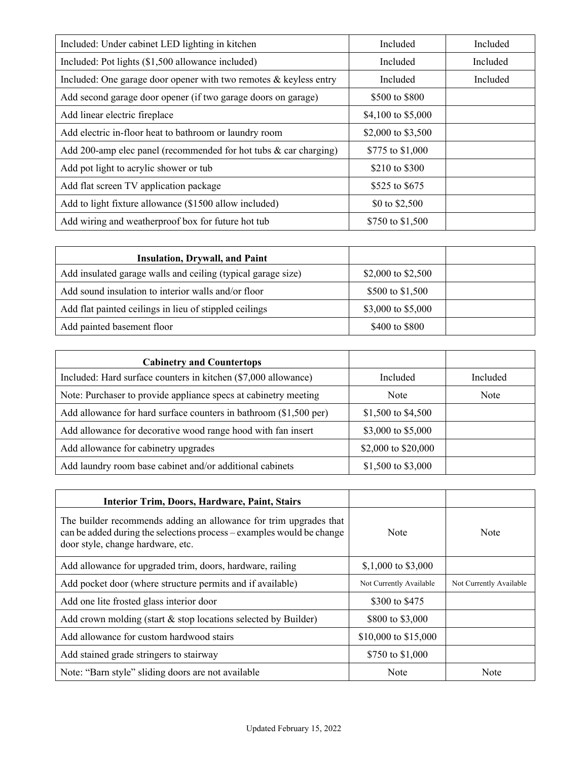| Included: Under cabinet LED lighting in kitchen                    | Included           | Included |
|--------------------------------------------------------------------|--------------------|----------|
| Included: Pot lights (\$1,500 allowance included)                  | Included           | Included |
| Included: One garage door opener with two remotes & keyless entry  | Included           | Included |
| Add second garage door opener (if two garage doors on garage)      | \$500 to \$800     |          |
| Add linear electric fireplace                                      | \$4,100 to \$5,000 |          |
| Add electric in-floor heat to bathroom or laundry room             | \$2,000 to \$3,500 |          |
| Add 200-amp elec panel (recommended for hot tubs $&$ car charging) | \$775 to \$1,000   |          |
| Add pot light to acrylic shower or tub                             | \$210 to \$300     |          |
| Add flat screen TV application package                             | \$525 to \$675     |          |
| Add to light fixture allowance (\$1500 allow included)             | \$0 to \$2,500     |          |
| Add wiring and weatherproof box for future hot tub                 | \$750 to \$1,500   |          |

| <b>Insulation, Drywall, and Paint</b>                        |                    |  |
|--------------------------------------------------------------|--------------------|--|
| Add insulated garage walls and ceiling (typical garage size) | \$2,000 to \$2,500 |  |
| Add sound insulation to interior walls and/or floor          | \$500 to \$1,500   |  |
| Add flat painted ceilings in lieu of stippled ceilings       | \$3,000 to \$5,000 |  |
| Add painted basement floor                                   | \$400 to \$800     |  |

| <b>Cabinetry and Countertops</b>                                    |                     |          |
|---------------------------------------------------------------------|---------------------|----------|
| Included: Hard surface counters in kitchen (\$7,000 allowance)      | Included            | Included |
| Note: Purchaser to provide appliance specs at cabinetry meeting     | <b>Note</b>         | Note     |
| Add allowance for hard surface counters in bathroom $(\$1,500$ per) | \$1,500 to \$4,500  |          |
| Add allowance for decorative wood range hood with fan insert        | \$3,000 to \$5,000  |          |
| Add allowance for cabinetry upgrades                                | \$2,000 to \$20,000 |          |
| Add laundry room base cabinet and/or additional cabinets            | \$1,500 to \$3,000  |          |

| Interior Trim, Doors, Hardware, Paint, Stairs                                                                                                                                   |                         |                         |
|---------------------------------------------------------------------------------------------------------------------------------------------------------------------------------|-------------------------|-------------------------|
| The builder recommends adding an allowance for trim upgrades that<br>can be added during the selections process - examples would be change<br>door style, change hardware, etc. | Note                    | Note                    |
| Add allowance for upgraded trim, doors, hardware, railing                                                                                                                       | $$,1,000$ to \$3,000    |                         |
| Add pocket door (where structure permits and if available)                                                                                                                      | Not Currently Available | Not Currently Available |
| Add one lite frosted glass interior door                                                                                                                                        | \$300 to \$475          |                         |
| Add crown molding (start $\&$ stop locations selected by Builder)                                                                                                               | \$800 to \$3,000        |                         |
| Add allowance for custom hardwood stairs                                                                                                                                        | \$10,000 to \$15,000    |                         |
| Add stained grade stringers to stairway                                                                                                                                         | \$750 to \$1,000        |                         |
| Note: "Barn style" sliding doors are not available                                                                                                                              | Note                    | Note                    |